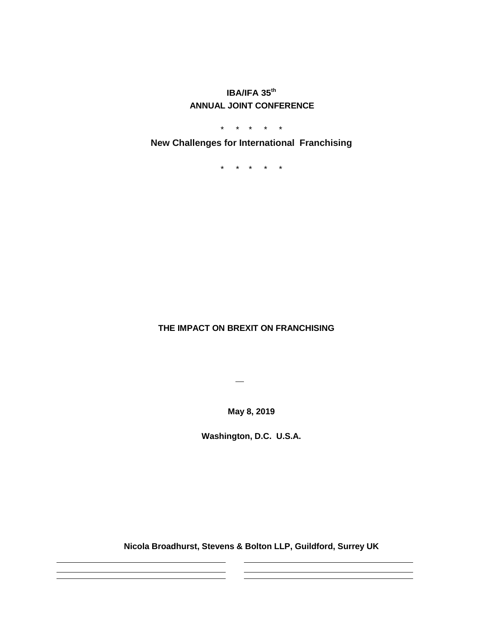**IBA/IFA 35th ANNUAL JOINT CONFERENCE**

\* \* \* \* \*

**New Challenges for International Franchising**

\* \* \* \* \*

# **THE IMPACT ON BREXIT ON FRANCHISING**

 $\overline{\phantom{a}}$ 

**May 8, 2019**

**Washington, D.C. U.S.A.**

**Nicola Broadhurst, Stevens & Bolton LLP, Guildford, Surrey UK**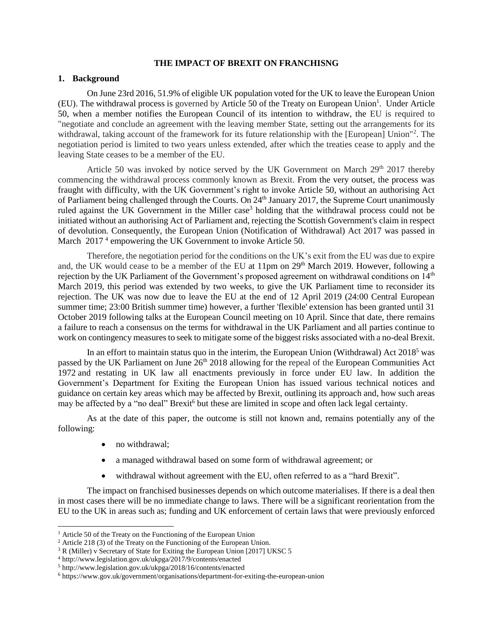#### **THE IMPACT OF BREXIT ON FRANCHISNG**

#### **1. Background**

On June 23rd 2016, 51.9% of eligible UK population voted for the UK to leave the European Union (EU). The withdrawal process is governed by Article 50 of the Treaty on European Union<sup>1</sup>. Under Article 50, when a member notifies the [European Council](https://en.wikipedia.org/wiki/European_Council) of its intention to withdraw, the EU is required to "negotiate and conclude an agreement with the leaving member State, setting out the arrangements for its withdrawal, taking account of the framework for its future relationship with the [European] Union"<sup>2</sup>. The negotiation period is limited to two years unless extended, after which the treaties cease to apply and the leaving State ceases to be a member of the EU.

Article 50 was invoked by notice served by the UK Government on March  $29<sup>th</sup> 2017$  thereby commencing the withdrawal process commonly known as Brexit. From the very outset, the process was fraught with difficulty, with the UK Government's right to invoke Article 50, without an authorising Act of Parliament being challenged through the Courts. On 24<sup>th</sup> January 2017, the Supreme Court unanimously ruled against the UK Government in the Miller case<sup>3</sup> holding that the withdrawal process could not be initiated without an authorising Act of Parliament and, rejecting the Scottish Government's claim in respect of devolution. Consequently, the European Union (Notification of Withdrawal) Act 2017 was passed in March 2017<sup>4</sup> empowering the UK Government to invoke Article 50.

Therefore, the negotiation period for the conditions on the UK's exit from the EU was due to expire and, the UK would cease to be a member of the EU at 11pm on 29<sup>th</sup> March 2019. However, following a rejection by the UK Parliament of the Government's proposed agreement on withdrawal conditions on 14<sup>th</sup> March 2019, this period was extended by two weeks, to give the UK Parliament time to reconsider its rejection. The UK was now due to leave the EU at the end of 12 April 2019 (24:00 Central European summer time; 23:00 British summer time) however, a further 'flexible' extension has been granted until 31 October 2019 following talks at the European Council meeting on 10 April. Since that date, there remains a failure to reach a consensus on the terms for withdrawal in the UK Parliament and all parties continue to work on contingency measures to seek to mitigate some of the biggest risks associated with a no-deal Brexit.

In an effort to maintain status quo in the interim, the European Union (Withdrawal) Act  $2018<sup>5</sup>$  was passed by the UK Parliament on June 26<sup>th</sup> 2018 allowing for the repeal of the European Communities Act 1972 and restating in UK law all enactments previously in force under EU law. In addition the Government's Department for Exiting the European Union has issued various technical notices and guidance on certain key areas which may be affected by Brexit, outlining its approach and, how such areas may be affected by a "no deal" Brexit<sup>6</sup> but these are limited in scope and often lack legal certainty.

As at the date of this paper, the outcome is still not known and, remains potentially any of the following:

• no withdrawal:

l

- a managed withdrawal based on some form of withdrawal agreement; or
- withdrawal without agreement with the EU, often referred to as a "hard Brexit".

The impact on franchised businesses depends on which outcome materialises. If there is a deal then in most cases there will be no immediate change to laws. There will be a significant reorientation from the EU to the UK in areas such as; funding and UK enforcement of certain laws that were previously enforced

<sup>&</sup>lt;sup>1</sup> Article 50 of the Treaty on the Functioning of the European Union

 $2$  Article 218 (3) of the Treaty on the Functioning of the European Union.

<sup>3</sup> R (Miller) v Secretary of State for Exiting the European Union [2017] UKSC 5

<sup>4</sup> http://www.legislation.gov.uk/ukpga/2017/9/contents/enacted

<sup>5</sup> http://www.legislation.gov.uk/ukpga/2018/16/contents/enacted

<sup>6</sup> https://www.gov.uk/government/organisations/department-for-exiting-the-european-union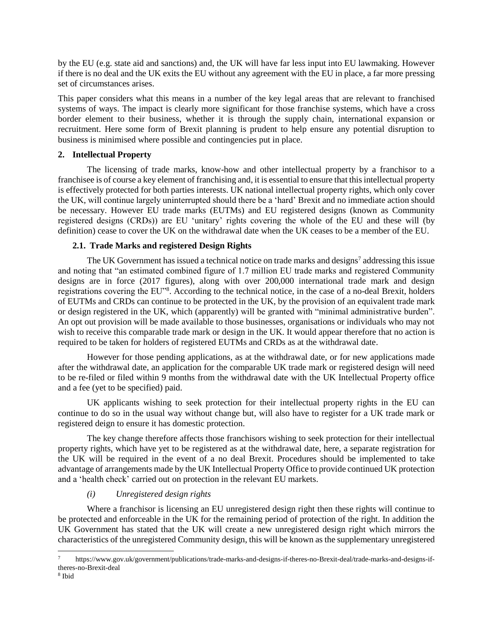by the EU (e.g. state aid and sanctions) and, the UK will have far less input into EU lawmaking. However if there is no deal and the UK exits the EU without any agreement with the EU in place, a far more pressing set of circumstances arises.

This paper considers what this means in a number of the key legal areas that are relevant to franchised systems of ways. The impact is clearly more significant for those franchise systems, which have a cross border element to their business, whether it is through the supply chain, international expansion or recruitment. Here some form of Brexit planning is prudent to help ensure any potential disruption to business is minimised where possible and contingencies put in place.

# **2. Intellectual Property**

The licensing of trade marks, know-how and other intellectual property by a franchisor to a franchisee is of course a key element of franchising and, it is essential to ensure that this intellectual property is effectively protected for both parties interests. UK national intellectual property rights, which only cover the UK, will continue largely uninterrupted should there be a 'hard' Brexit and no immediate action should be necessary. However EU trade marks (EUTMs) and EU registered designs (known as Community registered designs (CRDs)) are EU 'unitary' rights covering the whole of the EU and these will (by definition) cease to cover the UK on the withdrawal date when the UK ceases to be a member of the EU.

# **2.1. Trade Marks and registered Design Rights**

The UK Government has issued a technical notice on trade marks and designs<sup>7</sup> addressing this issue and noting that "an estimated combined figure of 1.7 million EU trade marks and registered Community designs are in force (2017 figures), along with over 200,000 international trade mark and design registrations covering the EU"<sup>8</sup>. According to the technical notice, in the case of a no-deal Brexit, holders of EUTMs and CRDs can continue to be protected in the UK, by the provision of an equivalent trade mark or design registered in the UK, which (apparently) will be granted with "minimal administrative burden". An opt out provision will be made available to those businesses, organisations or individuals who may not wish to receive this comparable trade mark or design in the UK. It would appear therefore that no action is required to be taken for holders of registered EUTMs and CRDs as at the withdrawal date.

However for those pending applications, as at the withdrawal date, or for new applications made after the withdrawal date, an application for the comparable UK trade mark or registered design will need to be re-filed or filed within 9 months from the withdrawal date with the UK Intellectual Property office and a fee (yet to be specified) paid.

UK applicants wishing to seek protection for their intellectual property rights in the EU can continue to do so in the usual way without change but, will also have to register for a UK trade mark or registered deign to ensure it has domestic protection.

The key change therefore affects those franchisors wishing to seek protection for their intellectual property rights, which have yet to be registered as at the withdrawal date, here, a separate registration for the UK will be required in the event of a no deal Brexit. Procedures should be implemented to take advantage of arrangements made by the UK Intellectual Property Office to provide continued UK protection and a 'health check' carried out on protection in the relevant EU markets.

# *(i) Unregistered design rights*

Where a franchisor is licensing an EU unregistered design right then these rights will continue to be protected and enforceable in the UK for the remaining period of protection of the right. In addition the UK Government has stated that the UK will create a new unregistered design right which mirrors the characteristics of the unregistered Community design, this will be known as the supplementary unregistered

 $\overline{a}$ 

<sup>7</sup> https://www.gov.uk/government/publications/trade-marks-and-designs-if-theres-no-Brexit-deal/trade-marks-and-designs-iftheres-no-Brexit-deal

<sup>8</sup> Ibid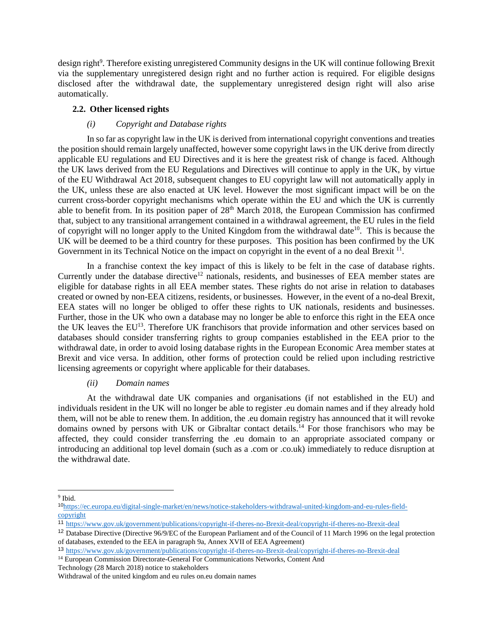design right<sup>9</sup>. Therefore existing unregistered Community designs in the UK will continue following Brexit via the supplementary unregistered design right and no further action is required. For eligible designs disclosed after the withdrawal date, the supplementary unregistered design right will also arise automatically.

### **2.2. Other licensed rights**

# *(i) Copyright and Database rights*

In so far as copyright law in the UK is derived from international copyright conventions and treaties the position should remain largely unaffected, however some copyright laws in the UK derive from directly applicable EU regulations and EU Directives and it is here the greatest risk of change is faced. Although the UK laws derived from the EU Regulations and Directives will continue to apply in the UK, by virtue of the EU Withdrawal Act 2018, subsequent changes to EU copyright law will not automatically apply in the UK, unless these are also enacted at UK level. However the most significant impact will be on the current cross-border copyright mechanisms which operate within the EU and which the UK is currently able to benefit from. In its position paper of 28<sup>th</sup> March 2018, the European Commission has confirmed that, subject to any transitional arrangement contained in a withdrawal agreement, the EU rules in the field of copyright will no longer apply to the United Kingdom from the withdrawal date<sup>10</sup>. This is because the UK will be deemed to be a third country for these purposes. This position has been confirmed by the UK Government in its Technical Notice on the impact on copyright in the event of a no deal Brexit <sup>11</sup>.

In a franchise context the key impact of this is likely to be felt in the case of database rights. Currently under the database directive<sup>12</sup> nationals, residents, and businesses of EEA member states are eligible for database rights in all EEA member states. These rights do not arise in relation to databases created or owned by non-EEA citizens, residents, or businesses. However, in the event of a no-deal Brexit, EEA states will no longer be obliged to offer these rights to UK nationals, residents and businesses. Further, those in the UK who own a database may no longer be able to enforce this right in the EEA once the UK leaves the EU<sup>13</sup>. Therefore UK franchisors that provide information and other services based on databases should consider transferring rights to group companies established in the EEA prior to the withdrawal date, in order to avoid losing database rights in the European Economic Area member states at Brexit and vice versa. In addition, other forms of protection could be relied upon including restrictive licensing agreements or copyright where applicable for their databases.

#### *(ii) Domain names*

At the withdrawal date UK companies and organisations (if not established in the EU) and individuals resident in the UK will no longer be able to register .eu domain names and if they already hold them, will not be able to renew them. In addition, the .eu domain registry has announced that it will revoke domains owned by persons with UK or Gibraltar contact details.<sup>14</sup> For those franchisors who may be affected, they could consider transferring the .eu domain to an appropriate associated company or introducing an additional top level domain (such as a .com or .co.uk) immediately to reduce disruption at the withdrawal date.

l

Technology (28 March 2018) notice to stakeholders

<sup>9</sup> Ibid.

<sup>10</sup>[https://ec.europa.eu/digital-single-market/en/news/notice-stakeholders-withdrawal-united-kingdom-and-eu-rules-field](https://ec.europa.eu/digital-single-market/en/news/notice-stakeholders-withdrawal-united-kingdom-and-eu-rules-field-copyright)[copyright](https://ec.europa.eu/digital-single-market/en/news/notice-stakeholders-withdrawal-united-kingdom-and-eu-rules-field-copyright)

<sup>11</sup> [https://www.gov.uk/government/publications/copyright-if-theres-no-Brexit-deal/copyright-if-theres-no-Brexit-deal](https://www.gov.uk/government/publications/copyright-if-theres-no-brexit-deal/copyright-if-theres-no-brexit-deal)

<sup>12</sup> Database Directive (Directive 96/9/EC of the European Parliament and of the Council of 11 March 1996 on the legal protection of databases, extended to the EEA in paragraph 9a, Annex XVII of EEA Agreement)

<sup>13</sup> [https://www.gov.uk/government/publications/copyright-if-theres-no-Brexit-deal/copyright-if-theres-no-Brexit-deal](https://www.gov.uk/government/publications/copyright-if-theres-no-brexit-deal/copyright-if-theres-no-brexit-deal)

<sup>&</sup>lt;sup>14</sup> European Commission Directorate-General For Communications Networks, Content And

Withdrawal of the united kingdom and eu rules on.eu domain names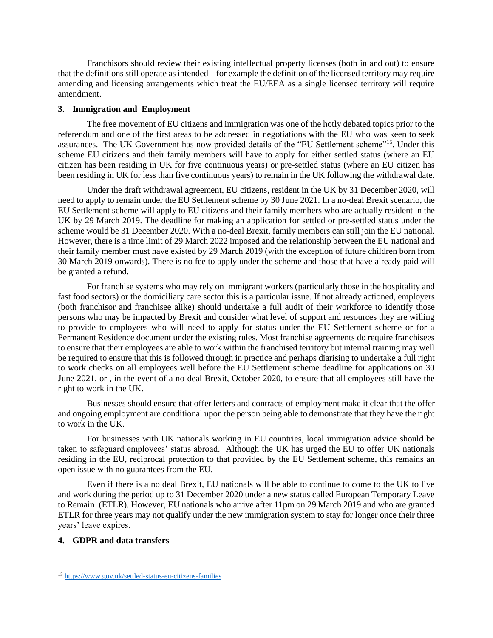Franchisors should review their existing intellectual property licenses (both in and out) to ensure that the definitions still operate as intended – for example the definition of the licensed territory may require amending and licensing arrangements which treat the EU/EEA as a single licensed territory will require amendment.

#### **3. Immigration and Employment**

The free movement of EU citizens and immigration was one of the hotly debated topics prior to the referendum and one of the first areas to be addressed in negotiations with the EU who was keen to seek assurances. The UK Government has now provided details of the "EU Settlement scheme"<sup>15</sup>. Under this scheme EU citizens and their family members will have to apply for either settled status (where an EU citizen has been residing in UK for five continuous years) or pre-settled status (where an EU citizen has been residing in UK for less than five continuous years) to remain in the UK following the withdrawal date.

Under the draft withdrawal agreement, EU citizens, resident in the UK by 31 December 2020, will need to apply to remain under the EU Settlement scheme by 30 June 2021. In a no-deal Brexit scenario, the EU Settlement scheme will apply to EU citizens and their family members who are actually resident in the UK by 29 March 2019. The deadline for making an application for settled or pre-settled status under the scheme would be 31 December 2020. With a no-deal Brexit, family members can still join the EU national. However, there is a time limit of 29 March 2022 imposed and the relationship between the EU national and their family member must have existed by 29 March 2019 (with the exception of future children born from 30 March 2019 onwards). There is no fee to apply under the scheme and those that have already paid will be granted a refund.

For franchise systems who may rely on immigrant workers (particularly those in the hospitality and fast food sectors) or the domiciliary care sector this is a particular issue. If not already actioned, employers (both franchisor and franchisee alike) should undertake a full audit of their workforce to identify those persons who may be impacted by Brexit and consider what level of support and resources they are willing to provide to employees who will need to apply for status under the EU Settlement scheme or for a Permanent Residence document under the existing rules. Most franchise agreements do require franchisees to ensure that their employees are able to work within the franchised territory but internal training may well be required to ensure that this is followed through in practice and perhaps diarising to undertake a full right to work checks on all employees well before the EU Settlement scheme deadline for applications on 30 June 2021, or , in the event of a no deal Brexit, October 2020, to ensure that all employees still have the right to work in the UK.

Businesses should ensure that offer letters and contracts of employment make it clear that the offer and ongoing employment are conditional upon the person being able to demonstrate that they have the right to work in the UK.

For businesses with UK nationals working in EU countries, local immigration advice should be taken to safeguard employees' status abroad. Although the UK has urged the EU to offer UK nationals residing in the EU, reciprocal protection to that provided by the EU Settlement scheme, this remains an open issue with no guarantees from the EU.

Even if there is a no deal Brexit, EU nationals will be able to continue to come to the UK to live and work during the period up to 31 December 2020 under a new status called European Temporary Leave to Remain (ETLR). However, EU nationals who arrive after 11pm on 29 March 2019 and who are granted ETLR for three years may not qualify under the new immigration system to stay for longer once their three years' leave expires.

# **4. GDPR and data transfers**

 $\overline{a}$ 

<sup>15</sup> <https://www.gov.uk/settled-status-eu-citizens-families>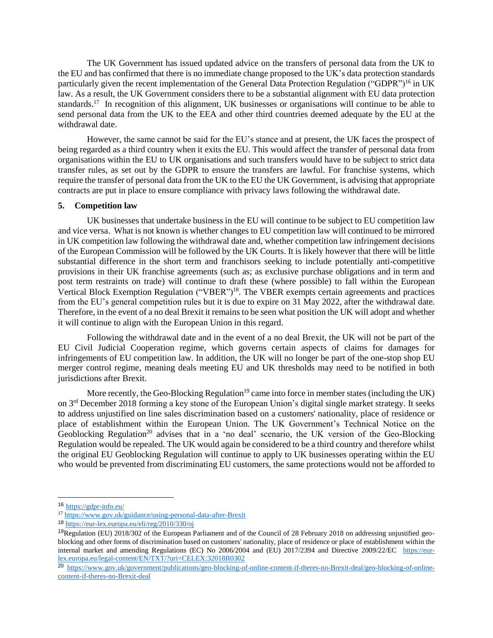The UK Government has issued updated advice on the transfers of personal data from the UK to the EU and has confirmed that there is no immediate change proposed to the UK's data protection standards particularly given the recent implementation of the General Data Protection Regulation ("GDPR")<sup>16</sup> in UK law. As a result, the UK Government considers there to be a substantial alignment with EU data protection standards.<sup>17</sup> In recognition of this alignment, UK businesses or organisations will continue to be able to send personal data from the UK to the EEA and other third countries deemed adequate by the EU at the withdrawal date.

However, the same cannot be said for the EU's stance and at present, the UK faces the prospect of being regarded as a third country when it exits the EU. This would affect the transfer of personal data from organisations within the EU to UK organisations and such transfers would have to be subject to strict data transfer rules, as set out by the GDPR to ensure the transfers are lawful. For franchise systems, which require the transfer of personal data from the UK to the EU the UK Government, is advising that appropriate contracts are put in place to ensure compliance with privacy laws following the withdrawal date.

## **5. Competition law**

UK businesses that undertake business in the EU will continue to be subject to EU competition law and vice versa. What is not known is whether changes to EU competition law will continued to be mirrored in UK competition law following the withdrawal date and, whether competition law infringement decisions of the European Commission will be followed by the UK Courts. It is likely however that there will be little substantial difference in the short term and franchisors seeking to include potentially anti-competitive provisions in their UK franchise agreements (such as; as exclusive purchase obligations and in term and post term restraints on trade) will continue to draft these (where possible) to fall within the European Vertical Block Exemption Regulation ("VBER")<sup>18</sup>. The VBER exempts certain agreements and practices from the EU's general competition rules but it is due to expire on 31 May 2022, after the withdrawal date. Therefore, in the event of a no deal Brexit it remains to be seen what position the UK will adopt and whether it will continue to align with the European Union in this regard.

Following the withdrawal date and in the event of a no deal Brexit, the UK will not be part of the EU Civil Judicial Cooperation regime, which governs certain aspects of claims for damages for infringements of EU competition law. In addition, the UK will no longer be part of the one-stop shop EU merger control regime, meaning deals meeting EU and UK thresholds may need to be notified in both jurisdictions after Brexit.

More recently, the Geo-Blocking Regulation<sup>19</sup> came into force in member states (including the UK) on 3rd December 2018 forming a key stone of the European Union's digital single market strategy. It seeks to address unjustified on line sales discrimination based on a customers' nationality, place of residence or place of establishment within the European Union. The UK Government's Technical Notice on the Geoblocking Regulation<sup>20</sup> advises that in a 'no deal' scenario, the UK version of the Geo-Blocking Regulation would be repealed. The UK would again be considered to be a third country and therefore whilst the original EU Geoblocking Regulation will continue to apply to UK businesses operating within the EU who would be prevented from discriminating EU customers, the same protections would not be afforded to

 $\overline{a}$ 

<sup>16</sup> <https://gdpr-info.eu/>

<sup>17</sup> [https://www.gov.uk/guidance/using-personal-data-after-Brexit](https://www.gov.uk/guidance/using-personal-data-after-brexit)

<sup>18</sup> <https://eur-lex.europa.eu/eli/reg/2010/330/oj>

<sup>19</sup>Regulation (EU) 2018/302 of the European Parliament and of the Council of 28 February 2018 on addressing unjustified geoblocking and other forms of discrimination based on customers' nationality, place of residence or place of establishment within the internal market and amending Regulations (EC) No 2006/2004 and (EU) 2017/2394 and Directive 2009/22/EC [https://eur](https://eur-lex.europa.eu/legal-content/EN/TXT/?uri=CELEX:32018R0302)[lex.europa.eu/legal-content/EN/TXT/?uri=CELEX:32018R0302](https://eur-lex.europa.eu/legal-content/EN/TXT/?uri=CELEX:32018R0302)

<sup>20</sup> [https://www.gov.uk/government/publications/geo-blocking-of-online-content-if-theres-no-Brexit-deal/geo-blocking-of-online](https://www.gov.uk/government/publications/geo-blocking-of-online-content-if-theres-no-brexit-deal/geo-blocking-of-online-content-if-theres-no-brexit-deal)[content-if-theres-no-Brexit-deal](https://www.gov.uk/government/publications/geo-blocking-of-online-content-if-theres-no-brexit-deal/geo-blocking-of-online-content-if-theres-no-brexit-deal)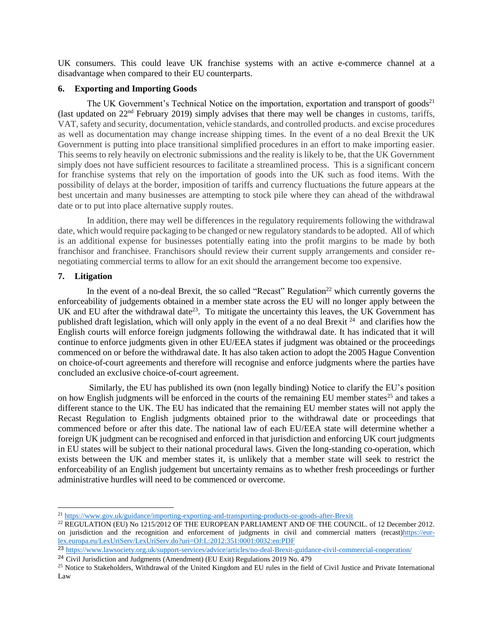UK consumers. This could leave UK franchise systems with an active e-commerce channel at a disadvantage when compared to their EU counterparts.

## **6. Exporting and Importing Goods**

The UK Government's Technical Notice on the importation, exportation and transport of goods<sup>21</sup> (last updated on  $22<sup>nd</sup>$  February 2019) simply advises that there may well be changes in customs, tariffs, VAT, safety and security, documentation, vehicle standards, and controlled products. and excise procedures as well as documentation may change increase shipping times. In the event of a no deal Brexit the UK Government is putting into place transitional simplified procedures in an effort to make importing easier. This seems to rely heavily on electronic submissions and the reality is likely to be, that the UK Government simply does not have sufficient resources to facilitate a streamlined process. This is a significant concern for franchise systems that rely on the importation of goods into the UK such as food items. With the possibility of delays at the border, imposition of tariffs and currency fluctuations the future appears at the best uncertain and many businesses are attempting to stock pile where they can ahead of the withdrawal date or to put into place alternative supply routes.

In addition, there may well be differences in the regulatory requirements following the withdrawal date, which would require packaging to be changed or new regulatory standards to be adopted. All of which is an additional expense for businesses potentially eating into the profit margins to be made by both franchisor and franchisee. Franchisors should review their current supply arrangements and consider renegotiating commercial terms to allow for an exit should the arrangement become too expensive.

## **7. Litigation**

 $\overline{a}$ 

In the event of a no-deal Brexit, the so called "Recast" Regulation<sup>22</sup> which currently governs the enforceability of judgements obtained in a member state across the EU will no longer apply between the UK and EU after the withdrawal date<sup>23</sup>. To mitigate the uncertainty this leaves, the UK Government has published draft legislation, which will only apply in the event of a no deal Brexit <sup>24</sup> and clarifies how the English courts will enforce foreign judgments following the withdrawal date. It has indicated that it will continue to enforce judgments given in other EU/EEA states if judgment was obtained or the proceedings commenced on or before the withdrawal date. It has also taken action to adopt the 2005 Hague Convention on choice-of-court agreements and therefore will recognise and enforce judgments where the parties have concluded an exclusive choice-of-court agreement.

Similarly, the EU has published its own (non legally binding) Notice to clarify the EU's position on how English judgments will be enforced in the courts of the remaining EU member states<sup>25</sup> and takes a different stance to the UK. The EU has indicated that the remaining EU member states will not apply the Recast Regulation to English judgments obtained prior to the withdrawal date or proceedings that commenced before or after this date. The national law of each EU/EEA state will determine whether a foreign UK judgment can be recognised and enforced in that jurisdiction and enforcing UK court judgments in EU states will be subject to their national procedural laws. Given the long-standing co-operation, which exists between the UK and member states it, is unlikely that a member state will seek to restrict the enforceability of an English judgement but uncertainty remains as to whether fresh proceedings or further administrative hurdles will need to be commenced or overcome.

<sup>21</sup> [https://www.gov.uk/guidance/importing-exporting-and-transporting-products-or-goods-after-Brexit](https://www.gov.uk/guidance/importing-exporting-and-transporting-products-or-goods-after-brexit)

<sup>&</sup>lt;sup>22</sup> REGULATION (EU) No 1215/2012 OF THE EUROPEAN PARLIAMENT AND OF THE COUNCIL. of 12 December 2012. on jurisdiction and the recognition and enforcement of judgments in civil and commercial matters (recast[\)https://eur](https://eur-lex.europa.eu/LexUriServ/LexUriServ.do?uri=OJ:L:2012:351:0001:0032:en:PDF)[lex.europa.eu/LexUriServ/LexUriServ.do?uri=OJ:L:2012:351:0001:0032:en:PDF](https://eur-lex.europa.eu/LexUriServ/LexUriServ.do?uri=OJ:L:2012:351:0001:0032:en:PDF)

<sup>23</sup> [https://www.lawsociety.org.uk/support-services/advice/articles/no-deal-Brexit-guidance-civil-commercial-cooperation/](https://www.lawsociety.org.uk/support-services/advice/articles/no-deal-brexit-guidance-civil-commercial-cooperation/)

<sup>24</sup> Civil Jurisdiction and Judgments (Amendment) (EU Exit) Regulations 2019 No. 479

<sup>&</sup>lt;sup>25</sup> Notice to Stakeholders, Withdrawal of the United Kingdom and EU rules in the field of Civil Justice and Private International Law